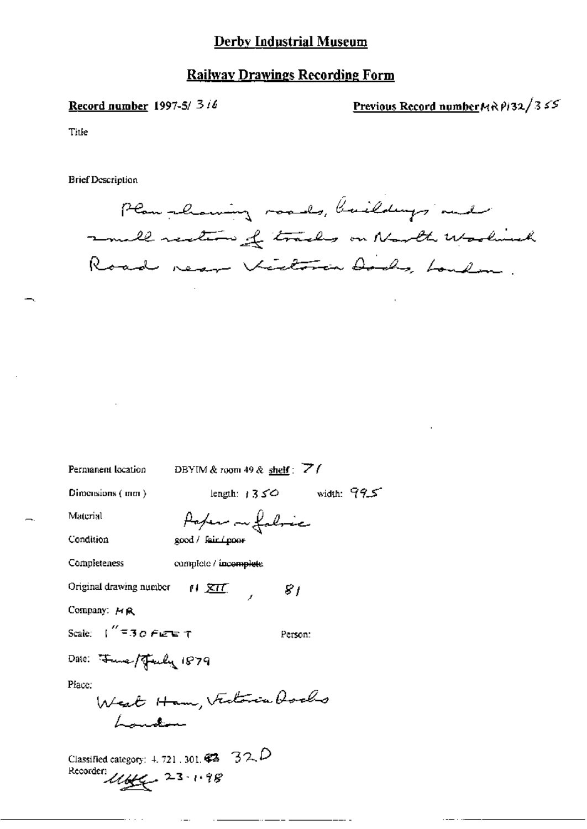# Derby Industrial Museum

# **Railway Drawings Recording Form**

### Record number 1997-5/ 3 i6

Previous Record number  $M \wedge P/32/355$ 

Title

**Brief Description** 

Plan showing roads, buildings and small restron of tracks on Narth Wooland Road near Victoria Dods, London

Permanent location DBYIM & room 49 & shelf: 7

Dimensions (mm)

length:  $1350$  width:  $995$ 

 $S$  /

Person:

Material

Poper on folice good / fair (poor

Condition

Completeness

complete / incomplete

 $M \times U$ 

Original drawing number

Company: HR

Scale:  $\int_{0}^{\infty}$  = 30 Figure T

Date: Fune/Fuly 1879

Place:

West Ham, Victoria Rochs Lauten

Classified category: 4, 721 , 301,  $\mathcal{C}$  32.  $\mathcal{D}$ Recorder:  $1166 - 23 \cdot 1.98$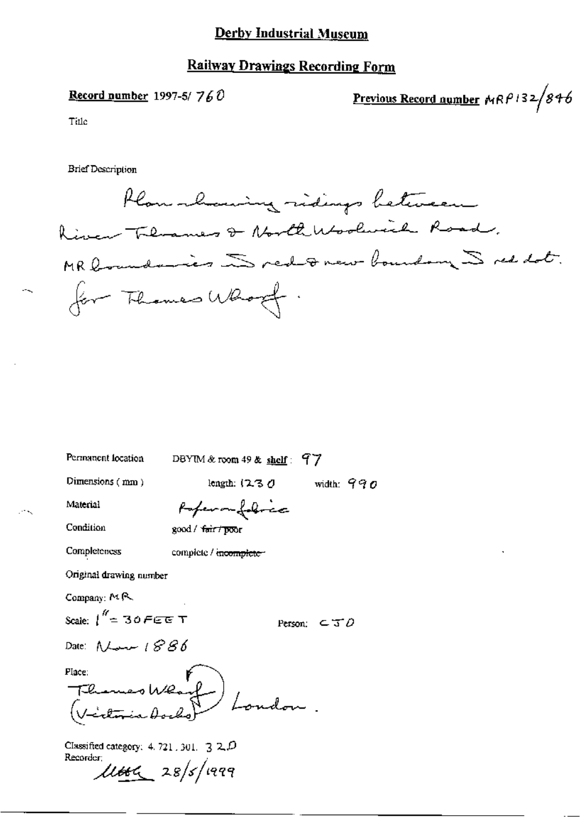## **Derby Industrial Museum**

## **Railway Drawings Recording Form**

# Record number 1997-5/ $760$

Previous Record number  $MRP132/846$ 

Title

**Brief Description** 

Plan-lowing ridings between River Therames & North Woolwich Road, MR boundaries Dred Franc boundary Dred Lot. for Thomas Whoof.

Permanent location

DBYIM & room 49 & shelf:  $97$ 

Dimensions (mm)

length:  $(230$  width:  $990$ 

Material

Poferan folice

Condition

Completeness

good / fair / poor

complete / incomplete

Original drawing number

Company: MR

Scale:  $\int_0^{\theta'} = 30$  F G G T

Person:  $\subset$   $\mathcal{I}$  D

Date:  $\Lambda$ Land  $\Lambda$   $\beta$   $\beta$   $\delta$ 

Mace: F<br>Themes Wearf Place: London r<br>V=i<del>elin</del>ia doc

Classified category: 4, 721, 301,  $\sqrt{3}$  2,  $\overline{D}$ Recorder:  $\mu$ ttel 28/5/1999